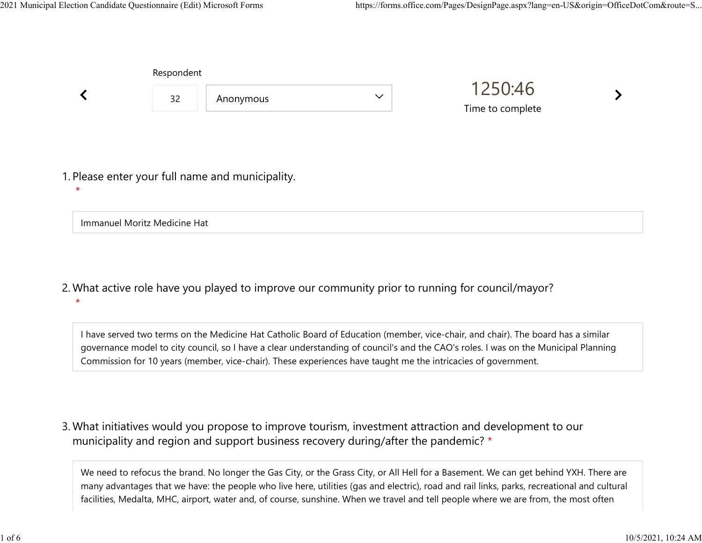Immanuel Moritz Medicine Hat

|         | Respondent |                                                  |              |                             |  |
|---------|------------|--------------------------------------------------|--------------|-----------------------------|--|
|         | 32         | Anonymous                                        | $\checkmark$ | 1250:46<br>Time to complete |  |
|         |            | 1. Please enter your full name and municipality. |              |                             |  |
| $\star$ |            |                                                  |              |                             |  |

What active role have you played to improve our community prior to running for council/mayor? 2. \*

I have served two terms on the Medicine Hat Catholic Board of Education (member, vice-chair, and chair). The board has a similar governance model to city council, so I have a clear understanding of council's and the CAO's roles. I was on the Municipal Planning Commission for 10 years (member, vice-chair). These experiences have taught me the intricacies of government.

What initiatives would you propose to improve tourism, investment attraction and development to our 3. municipality and region and support business recovery during/after the pandemic? \*

We need to refocus the brand. No longer the Gas City, or the Grass City, or All Hell for a Basement. We can get behind YXH. There are many advantages that we have: the people who live here, utilities (gas and electric), road and rail links, parks, recreational and cultural facilities, Medalta, MHC, airport, water and, of course, sunshine. When we travel and tell people where we are from, the most often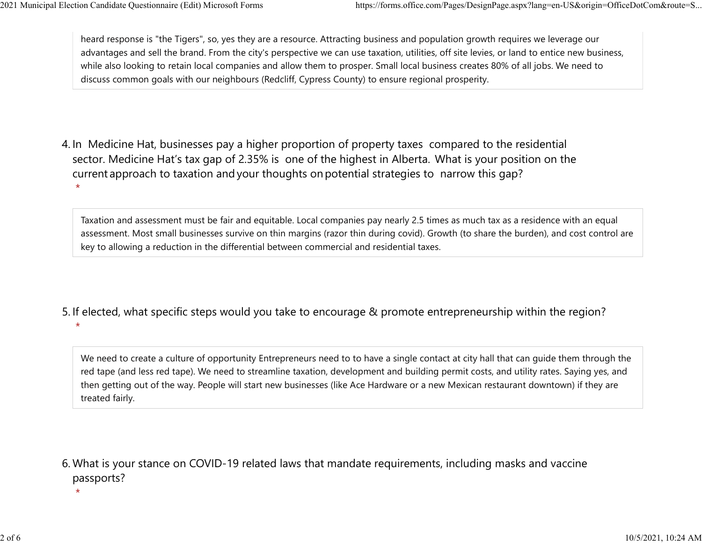heard response is "the Tigers", so, yes they are a resource. Attracting business and population growth requires we leverage our advantages and sell the brand. From the city's perspective we can use taxation, utilities, off site levies, or land to entice new business, while also looking to retain local companies and allow them to prosper. Small local business creates 80% of all jobs. We need to discuss common goals with our neighbours (Redcliff, Cypress County) to ensure regional prosperity. 2021 Municipal Election Candidate Questionnaire (Edit) Microsoft Forms https://forms.office.com/Pages/DesignPage.aspx?lang=en-US&origin=OfficeDotCom&route=S...<br>heard response is "the Tigers", so, yes they are a resource. A

4. In Medicine Hat, businesses pay a higher proportion of property taxes compared to the residential sector.  Medicine Hat's tax gap of 2.35% is one of the highest in Alberta.  What is your position on the current approach to taxation and your thoughts on potential strategies to narrow this gap? \*

Taxation and assessment must be fair and equitable. Local companies pay nearly 2.5 times as much tax as a residence with an equal assessment. Most small businesses survive on thin margins (razor thin during covid). Growth (to share the burden), and cost control are key to allowing a reduction in the differential between commercial and residential taxes.

5. If elected, what specific steps would you take to encourage & promote entrepreneurship within the region? \*

We need to create a culture of opportunity Entrepreneurs need to to have a single contact at city hall that can guide them through the red tape (and less red tape). We need to streamline taxation, development and building permit costs, and utility rates. Saying yes, and then getting out of the way. People will start new businesses (like Ace Hardware or a new Mexican restaurant downtown) if they are treated fairly.

What is your stance on COVID-19 related laws that mandate requirements, including masks and vaccine 6. passports?

\*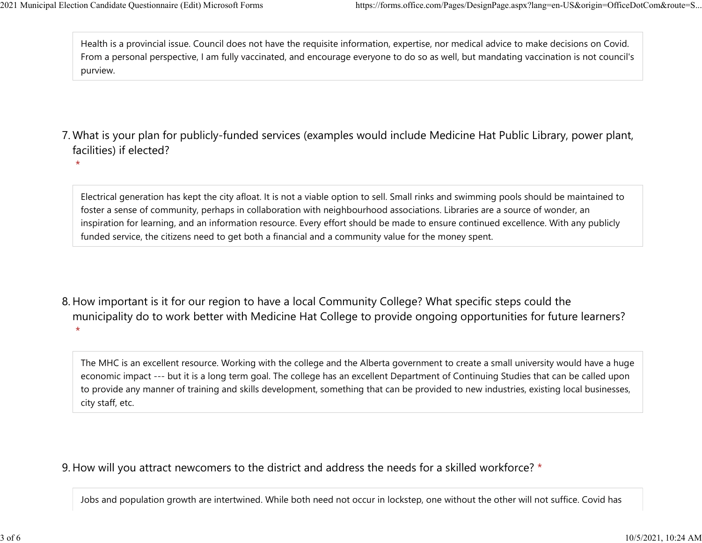\*

Health is a provincial issue. Council does not have the requisite information, expertise, nor medical advice to make decisions on Covid. From a personal perspective, I am fully vaccinated, and encourage everyone to do so as well, but mandating vaccination is not council's purview. 2021 Municipal Election Candidate Questionnaire (Edit) Microsoft Forms https://forms.office.com/Pages/DesignPage.aspx?lang=en-US&origin=OfficeDotCom&route=S...<br>Health is a provincial issue. Council does not have the requis

- What is your plan for publicly-funded services (examples would include Medicine Hat Public Library, power plant, 7. facilities) if elected?
	- Electrical generation has kept the city afloat. It is not a viable option to sell. Small rinks and swimming pools should be maintained to foster a sense of community, perhaps in collaboration with neighbourhood associations. Libraries are a source of wonder, an inspiration for learning, and an information resource. Every effort should be made to ensure continued excellence. With any publicly funded service, the citizens need to get both a financial and a community value for the money spent.
- 8. How important is it for our region to have a local Community College? What specific steps could the municipality do to work better with Medicine Hat College to provide ongoing opportunities for future learners? \*

The MHC is an excellent resource. Working with the college and the Alberta government to create a small university would have a huge economic impact --- but it is a long term goal. The college has an excellent Department of Continuing Studies that can be called upon to provide any manner of training and skills development, something that can be provided to new industries, existing local businesses, city staff, etc.

## 9. How will you attract newcomers to the district and address the needs for a skilled workforce? \*

Jobs and population growth are intertwined. While both need not occur in lockstep, one without the other will not suffice. Covid has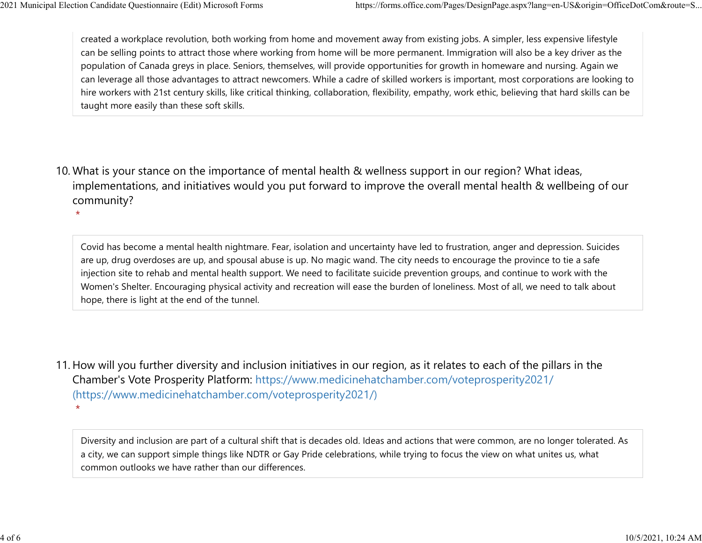\*

created a workplace revolution, both working from home and movement away from existing jobs. A simpler, less expensive lifestyle can be selling points to attract those where working from home will be more permanent. Immigration will also be a key driver as the population of Canada greys in place. Seniors, themselves, will provide opportunities for growth in homeware and nursing. Again we can leverage all those advantages to attract newcomers. While a cadre of skilled workers is important, most corporations are looking to hire workers with 21st century skills, like critical thinking, collaboration, flexibility, empathy, work ethic, believing that hard skills can be taught more easily than these soft skills. 2021 Municipal Election Candidate Questionnaire (Edit) Microsoft Forms https://forms.office.com/Pages/DesignPage.aspx?lang=en-US&origin=OfficeDotCom&route=S...<br>
created a workplace revolution, both working from home and mo

10. What is your stance on the importance of mental health & wellness support in our region? What ideas, implementations, and initiatives would you put forward to improve the overall mental health & wellbeing of our community?

Covid has become a mental health nightmare. Fear, isolation and uncertainty have led to frustration, anger and depression. Suicides are up, drug overdoses are up, and spousal abuse is up. No magic wand. The city needs to encourage the province to tie a safe injection site to rehab and mental health support. We need to facilitate suicide prevention groups, and continue to work with the Women's Shelter. Encouraging physical activity and recreation will ease the burden of loneliness. Most of all, we need to talk about hope, there is light at the end of the tunnel.

11. How will you further diversity and inclusion initiatives in our region, as it relates to each of the pillars in the Chamber's Vote Prosperity Platform: https://www.medicinehatchamber.com/voteprosperity2021/ (https://www.medicinehatchamber.com/voteprosperity2021/) \*

Diversity and inclusion are part of a cultural shift that is decades old. Ideas and actions that were common, are no longer tolerated. As a city, we can support simple things like NDTR or Gay Pride celebrations, while trying to focus the view on what unites us, what common outlooks we have rather than our differences.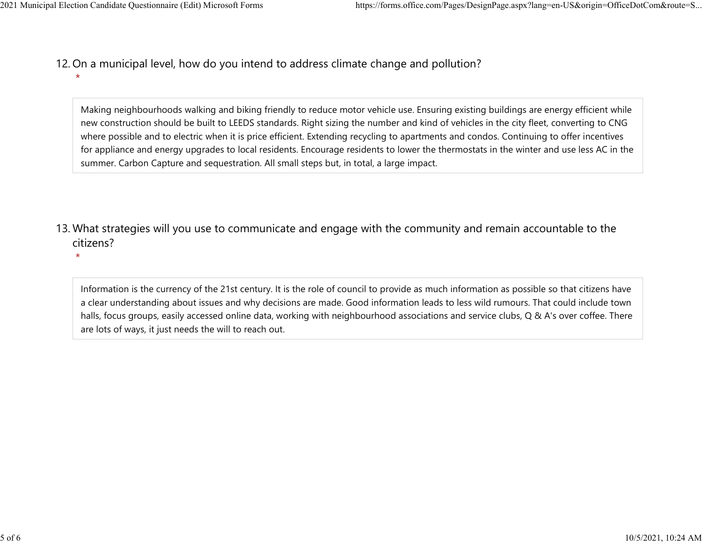\*

\*

- 12. On a municipal level, how do you intend to address climate change and pollution? 2021 Municipal Election Candidate Questionnaire (Edit) Microsoft Forms https://forms.office.com/Pages/DesignPage.aspx?lang=en-US&origin=OfficeDotCom&route=S...<br>12 On a municipal level how do you intend to address climate c
	- Making neighbourhoods walking and biking friendly to reduce motor vehicle use. Ensuring existing buildings are energy efficient while new construction should be built to LEEDS standards. Right sizing the number and kind of vehicles in the city fleet, converting to CNG where possible and to electric when it is price efficient. Extending recycling to apartments and condos. Continuing to offer incentives for appliance and energy upgrades to local residents. Encourage residents to lower the thermostats in the winter and use less AC in the summer. Carbon Capture and sequestration. All small steps but, in total, a large impact.
	- 13. What strategies will you use to communicate and engage with the community and remain accountable to the citizens?
		- Information is the currency of the 21st century. It is the role of council to provide as much information as possible so that citizens have a clear understanding about issues and why decisions are made. Good information leads to less wild rumours. That could include town halls, focus groups, easily accessed online data, working with neighbourhood associations and service clubs, Q & A's over coffee. There are lots of ways, it just needs the will to reach out.